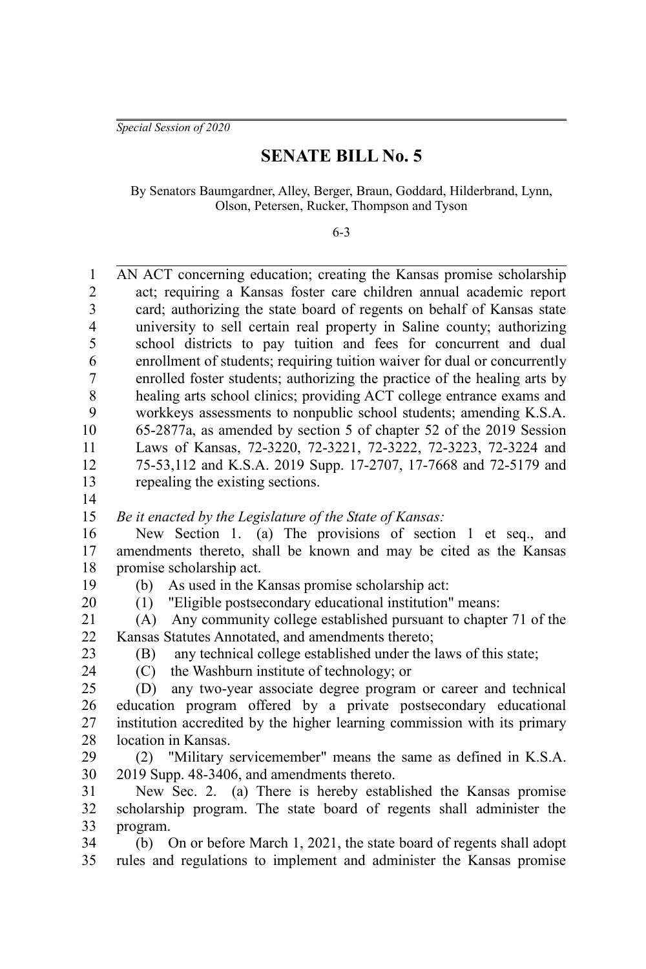*Special Session of 2020*

## **SENATE BILL No. 5**

By Senators Baumgardner, Alley, Berger, Braun, Goddard, Hilderbrand, Lynn, Olson, Petersen, Rucker, Thompson and Tyson

6-3

| $\mathbf{1}$   | AN ACT concerning education; creating the Kansas promise scholarship      |
|----------------|---------------------------------------------------------------------------|
| $\overline{c}$ | act; requiring a Kansas foster care children annual academic report       |
| 3              | card; authorizing the state board of regents on behalf of Kansas state    |
| $\overline{4}$ | university to sell certain real property in Saline county; authorizing    |
| 5              | school districts to pay tuition and fees for concurrent and dual          |
| 6              | enrollment of students; requiring tuition waiver for dual or concurrently |
| 7              | enrolled foster students; authorizing the practice of the healing arts by |
| 8              | healing arts school clinics; providing ACT college entrance exams and     |
| 9              | workkeys assessments to nonpublic school students; amending K.S.A.        |
| 10             | 65-2877a, as amended by section 5 of chapter 52 of the 2019 Session       |
| 11             | Laws of Kansas, 72-3220, 72-3221, 72-3222, 72-3223, 72-3224 and           |
| 12             | 75-53,112 and K.S.A. 2019 Supp. 17-2707, 17-7668 and 72-5179 and          |
| 13             | repealing the existing sections.                                          |
| 14             |                                                                           |
| 15             | Be it enacted by the Legislature of the State of Kansas:                  |
| 16             | New Section 1. (a) The provisions of section 1 et seq., and               |
| 17             | amendments thereto, shall be known and may be cited as the Kansas         |
| 18             | promise scholarship act.                                                  |
| 19             | As used in the Kansas promise scholarship act:<br>(b)                     |
| 20             | (1) "Eligible postsecondary educational institution" means:               |
| 21             | (A) Any community college established pursuant to chapter 71 of the       |
| 22             | Kansas Statutes Annotated, and amendments thereto;                        |
| 23             | any technical college established under the laws of this state;<br>(B)    |
| 24             | (C) the Washburn institute of technology; or                              |
| 25             | any two-year associate degree program or career and technical<br>(D)      |
| 26             | education program offered by a private postsecondary educational          |
| 27             | institution accredited by the higher learning commission with its primary |
| 28             | location in Kansas.                                                       |
| 29             | (2) "Military servicemember" means the same as defined in K.S.A.          |
| 30             | 2019 Supp. 48-3406, and amendments thereto.                               |
| 31             | New Sec. 2. (a) There is hereby established the Kansas promise            |
| 32             | scholarship program. The state board of regents shall administer the      |
| 33             | program.                                                                  |
| 34             | (b) On or before March 1, 2021, the state board of regents shall adopt    |

rules and regulations to implement and administer the Kansas promise 35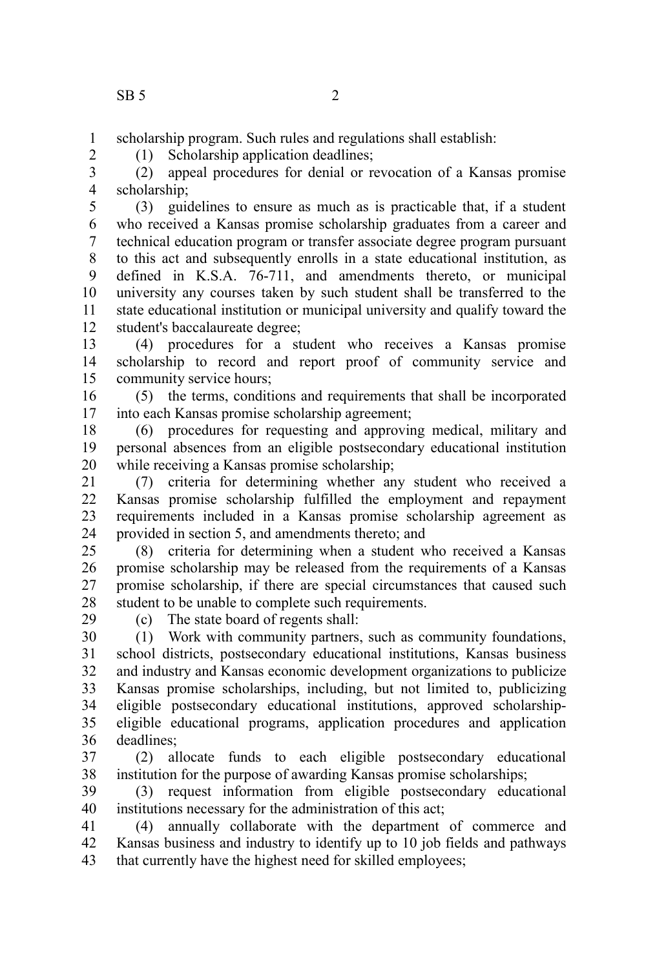scholarship program. Such rules and regulations shall establish: 1

(1) Scholarship application deadlines;

2

(2) appeal procedures for denial or revocation of a Kansas promise scholarship; 3 4

(3) guidelines to ensure as much as is practicable that, if a student who received a Kansas promise scholarship graduates from a career and technical education program or transfer associate degree program pursuant to this act and subsequently enrolls in a state educational institution, as defined in K.S.A. 76-711, and amendments thereto, or municipal university any courses taken by such student shall be transferred to the state educational institution or municipal university and qualify toward the student's baccalaureate degree; 5 6 7 8 9 10 11 12

(4) procedures for a student who receives a Kansas promise scholarship to record and report proof of community service and community service hours; 13 14 15

(5) the terms, conditions and requirements that shall be incorporated into each Kansas promise scholarship agreement; 16 17

(6) procedures for requesting and approving medical, military and personal absences from an eligible postsecondary educational institution while receiving a Kansas promise scholarship; 18 19 20

(7) criteria for determining whether any student who received a Kansas promise scholarship fulfilled the employment and repayment requirements included in a Kansas promise scholarship agreement as provided in section 5, and amendments thereto; and 21 22 23 24

(8) criteria for determining when a student who received a Kansas promise scholarship may be released from the requirements of a Kansas promise scholarship, if there are special circumstances that caused such student to be unable to complete such requirements. 25 26 27 28

29

(c) The state board of regents shall:

(1) Work with community partners, such as community foundations, school districts, postsecondary educational institutions, Kansas business and industry and Kansas economic development organizations to publicize Kansas promise scholarships, including, but not limited to, publicizing eligible postsecondary educational institutions, approved scholarshipeligible educational programs, application procedures and application deadlines; 30 31 32 33 34 35 36

(2) allocate funds to each eligible postsecondary educational institution for the purpose of awarding Kansas promise scholarships; 37 38

(3) request information from eligible postsecondary educational institutions necessary for the administration of this act; 39 40

(4) annually collaborate with the department of commerce and Kansas business and industry to identify up to 10 job fields and pathways that currently have the highest need for skilled employees; 41 42 43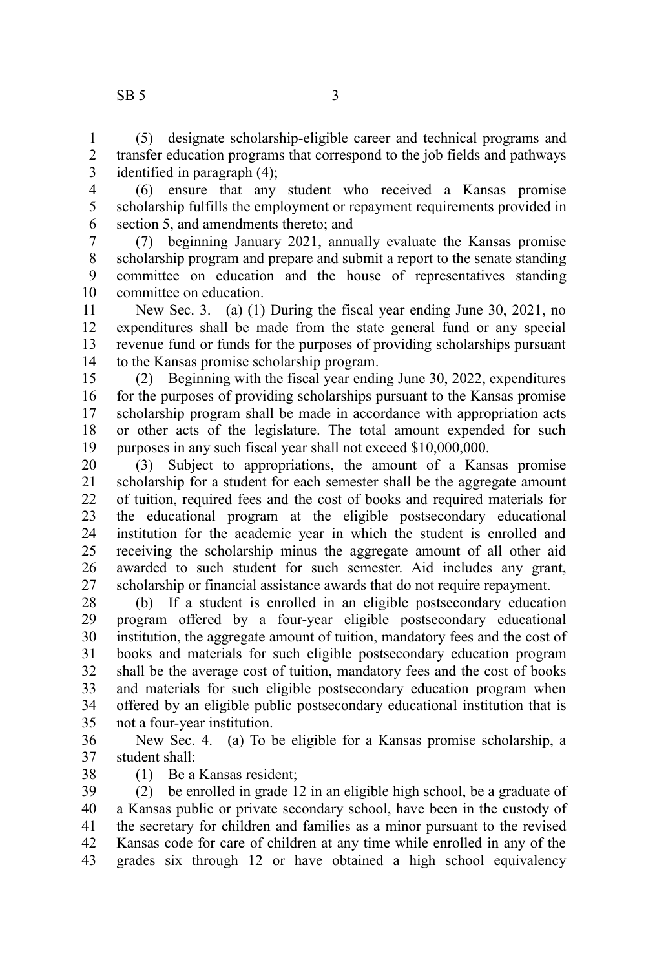(5) designate scholarship-eligible career and technical programs and transfer education programs that correspond to the job fields and pathways identified in paragraph (4); 1 2 3

- 4 5
- 6

(6) ensure that any student who received a Kansas promise scholarship fulfills the employment or repayment requirements provided in section 5, and amendments thereto; and

(7) beginning January 2021, annually evaluate the Kansas promise scholarship program and prepare and submit a report to the senate standing committee on education and the house of representatives standing committee on education. 7 8 9 10

New Sec. 3. (a) (1) During the fiscal year ending June 30, 2021, no expenditures shall be made from the state general fund or any special revenue fund or funds for the purposes of providing scholarships pursuant to the Kansas promise scholarship program. 11 12 13 14

(2) Beginning with the fiscal year ending June 30, 2022, expenditures for the purposes of providing scholarships pursuant to the Kansas promise scholarship program shall be made in accordance with appropriation acts or other acts of the legislature. The total amount expended for such purposes in any such fiscal year shall not exceed \$10,000,000. 15 16 17 18 19

(3) Subject to appropriations, the amount of a Kansas promise scholarship for a student for each semester shall be the aggregate amount of tuition, required fees and the cost of books and required materials for the educational program at the eligible postsecondary educational institution for the academic year in which the student is enrolled and receiving the scholarship minus the aggregate amount of all other aid awarded to such student for such semester. Aid includes any grant, scholarship or financial assistance awards that do not require repayment. 20 21 22 23 24 25 26 27

(b) If a student is enrolled in an eligible postsecondary education program offered by a four-year eligible postsecondary educational institution, the aggregate amount of tuition, mandatory fees and the cost of books and materials for such eligible postsecondary education program shall be the average cost of tuition, mandatory fees and the cost of books and materials for such eligible postsecondary education program when offered by an eligible public postsecondary educational institution that is not a four-year institution. 28 29 30 31 32 33 34 35

New Sec. 4. (a) To be eligible for a Kansas promise scholarship, a student shall: 36 37 38

(1) Be a Kansas resident;

(2) be enrolled in grade 12 in an eligible high school, be a graduate of a Kansas public or private secondary school, have been in the custody of the secretary for children and families as a minor pursuant to the revised Kansas code for care of children at any time while enrolled in any of the grades six through 12 or have obtained a high school equivalency 39 40 41 42 43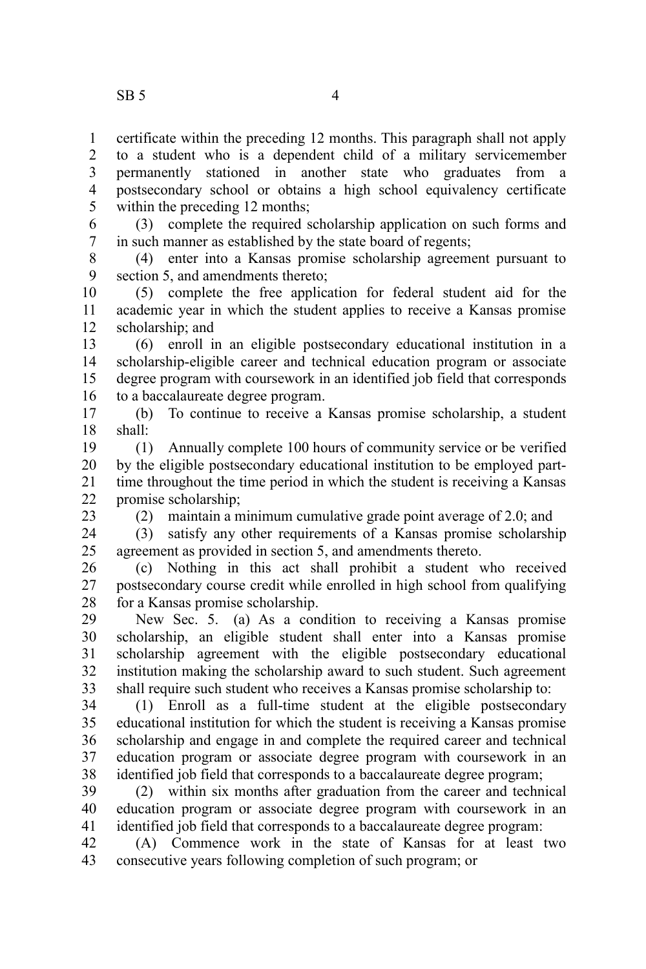certificate within the preceding 12 months. This paragraph shall not apply to a student who is a dependent child of a military servicemember permanently stationed in another state who graduates from a postsecondary school or obtains a high school equivalency certificate within the preceding 12 months; 1 2 3 4 5

(3) complete the required scholarship application on such forms and in such manner as established by the state board of regents; 6 7

(4) enter into a Kansas promise scholarship agreement pursuant to section 5, and amendments thereto; 8 9

(5) complete the free application for federal student aid for the academic year in which the student applies to receive a Kansas promise scholarship; and 10 11 12

(6) enroll in an eligible postsecondary educational institution in a scholarship-eligible career and technical education program or associate degree program with coursework in an identified job field that corresponds to a baccalaureate degree program. 13 14 15 16

(b) To continue to receive a Kansas promise scholarship, a student shall: 17 18

(1) Annually complete 100 hours of community service or be verified by the eligible postsecondary educational institution to be employed parttime throughout the time period in which the student is receiving a Kansas promise scholarship; 19 20 21 22

23

(2) maintain a minimum cumulative grade point average of 2.0; and

(3) satisfy any other requirements of a Kansas promise scholarship agreement as provided in section 5, and amendments thereto. 24 25

(c) Nothing in this act shall prohibit a student who received postsecondary course credit while enrolled in high school from qualifying for a Kansas promise scholarship. 26 27 28

New Sec. 5. (a) As a condition to receiving a Kansas promise scholarship, an eligible student shall enter into a Kansas promise scholarship agreement with the eligible postsecondary educational institution making the scholarship award to such student. Such agreement shall require such student who receives a Kansas promise scholarship to: 29 30 31 32 33

(1) Enroll as a full-time student at the eligible postsecondary educational institution for which the student is receiving a Kansas promise scholarship and engage in and complete the required career and technical education program or associate degree program with coursework in an identified job field that corresponds to a baccalaureate degree program; 34 35 36 37 38

(2) within six months after graduation from the career and technical education program or associate degree program with coursework in an identified job field that corresponds to a baccalaureate degree program: 39 40 41

(A) Commence work in the state of Kansas for at least two consecutive years following completion of such program; or 42 43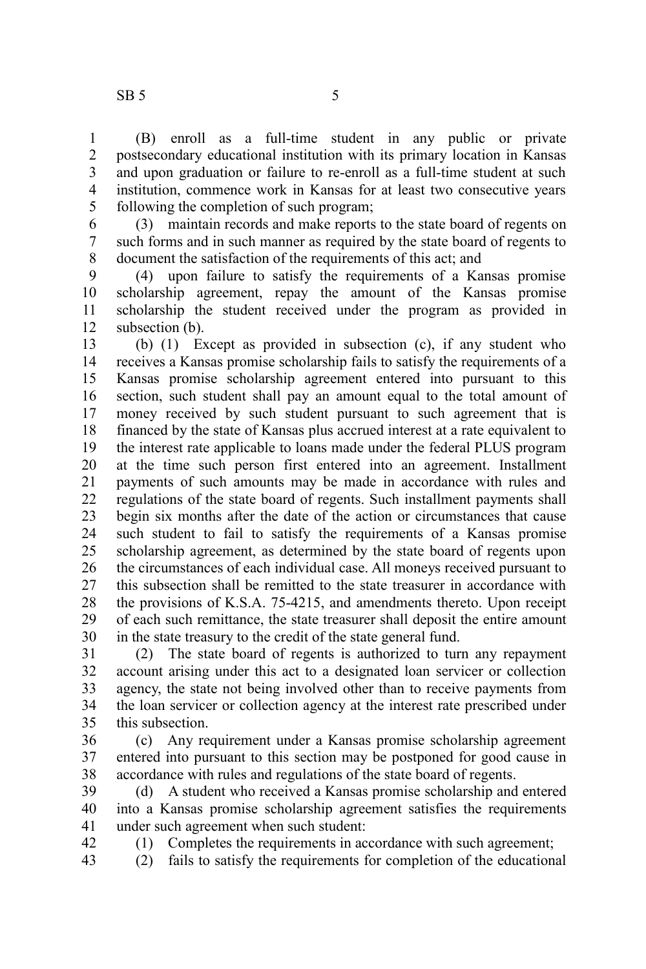42

(B) enroll as a full-time student in any public or private postsecondary educational institution with its primary location in Kansas and upon graduation or failure to re-enroll as a full-time student at such institution, commence work in Kansas for at least two consecutive years following the completion of such program; 1 2 3 4 5

(3) maintain records and make reports to the state board of regents on such forms and in such manner as required by the state board of regents to document the satisfaction of the requirements of this act; and 6 7 8

(4) upon failure to satisfy the requirements of a Kansas promise scholarship agreement, repay the amount of the Kansas promise scholarship the student received under the program as provided in subsection (b). 9 10 11 12

(b) (1) Except as provided in subsection (c), if any student who receives a Kansas promise scholarship fails to satisfy the requirements of a Kansas promise scholarship agreement entered into pursuant to this section, such student shall pay an amount equal to the total amount of money received by such student pursuant to such agreement that is financed by the state of Kansas plus accrued interest at a rate equivalent to the interest rate applicable to loans made under the federal PLUS program at the time such person first entered into an agreement. Installment payments of such amounts may be made in accordance with rules and regulations of the state board of regents. Such installment payments shall begin six months after the date of the action or circumstances that cause such student to fail to satisfy the requirements of a Kansas promise scholarship agreement, as determined by the state board of regents upon the circumstances of each individual case. All moneys received pursuant to this subsection shall be remitted to the state treasurer in accordance with the provisions of K.S.A. 75-4215, and amendments thereto. Upon receipt of each such remittance, the state treasurer shall deposit the entire amount in the state treasury to the credit of the state general fund. 13 14 15 16 17 18 19 20 21 22 23 24 25 26 27 28 29 30

(2) The state board of regents is authorized to turn any repayment account arising under this act to a designated loan servicer or collection agency, the state not being involved other than to receive payments from the loan servicer or collection agency at the interest rate prescribed under this subsection. 31 32 33 34 35

(c) Any requirement under a Kansas promise scholarship agreement entered into pursuant to this section may be postponed for good cause in accordance with rules and regulations of the state board of regents. 36 37 38

(d) A student who received a Kansas promise scholarship and entered into a Kansas promise scholarship agreement satisfies the requirements under such agreement when such student: 39 40 41

(1) Completes the requirements in accordance with such agreement;

(2) fails to satisfy the requirements for completion of the educational 43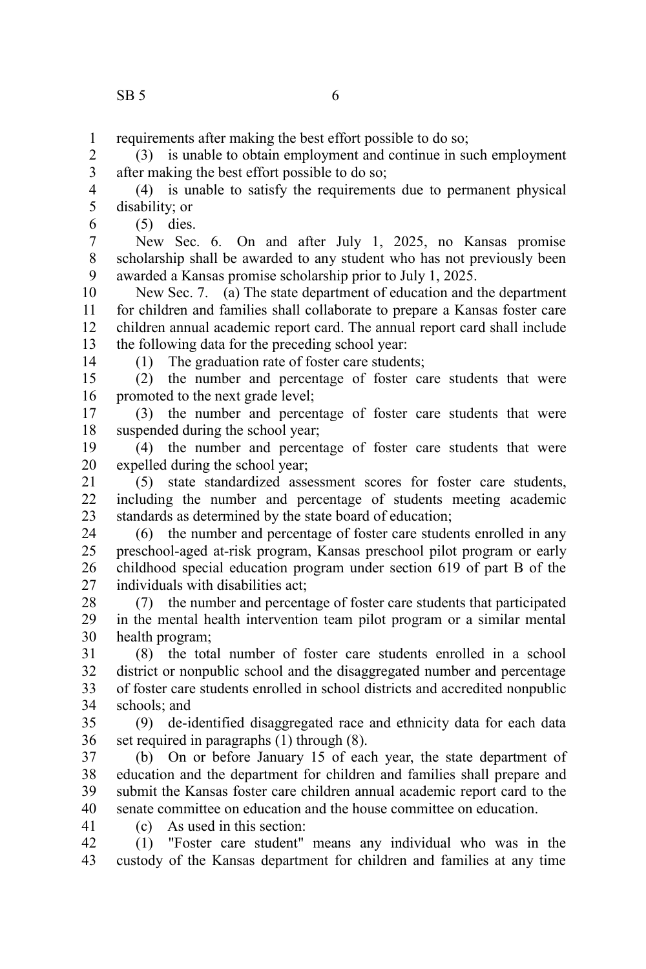requirements after making the best effort possible to do so; 1

(3) is unable to obtain employment and continue in such employment after making the best effort possible to do so; 2 3

(4) is unable to satisfy the requirements due to permanent physical disability; or 4 5

(5) dies.

New Sec. 6. On and after July 1, 2025, no Kansas promise scholarship shall be awarded to any student who has not previously been awarded a Kansas promise scholarship prior to July 1, 2025. 7 8 9

New Sec. 7. (a) The state department of education and the department for children and families shall collaborate to prepare a Kansas foster care children annual academic report card. The annual report card shall include the following data for the preceding school year: 10 11 12 13

14

6

(1) The graduation rate of foster care students;

(2) the number and percentage of foster care students that were promoted to the next grade level; 15 16

(3) the number and percentage of foster care students that were suspended during the school year; 17 18

(4) the number and percentage of foster care students that were expelled during the school year; 19 20

(5) state standardized assessment scores for foster care students, including the number and percentage of students meeting academic standards as determined by the state board of education; 21  $22$ 23

(6) the number and percentage of foster care students enrolled in any preschool-aged at-risk program, Kansas preschool pilot program or early childhood special education program under section 619 of part B of the individuals with disabilities act; 24 25 26 27

(7) the number and percentage of foster care students that participated in the mental health intervention team pilot program or a similar mental health program; 28 29 30

(8) the total number of foster care students enrolled in a school district or nonpublic school and the disaggregated number and percentage of foster care students enrolled in school districts and accredited nonpublic schools; and 31 32 33 34

(9) de-identified disaggregated race and ethnicity data for each data set required in paragraphs (1) through (8). 35 36

(b) On or before January 15 of each year, the state department of education and the department for children and families shall prepare and submit the Kansas foster care children annual academic report card to the senate committee on education and the house committee on education. 37 38 39 40

(c) As used in this section: 41

(1) "Foster care student" means any individual who was in the custody of the Kansas department for children and families at any time 42 43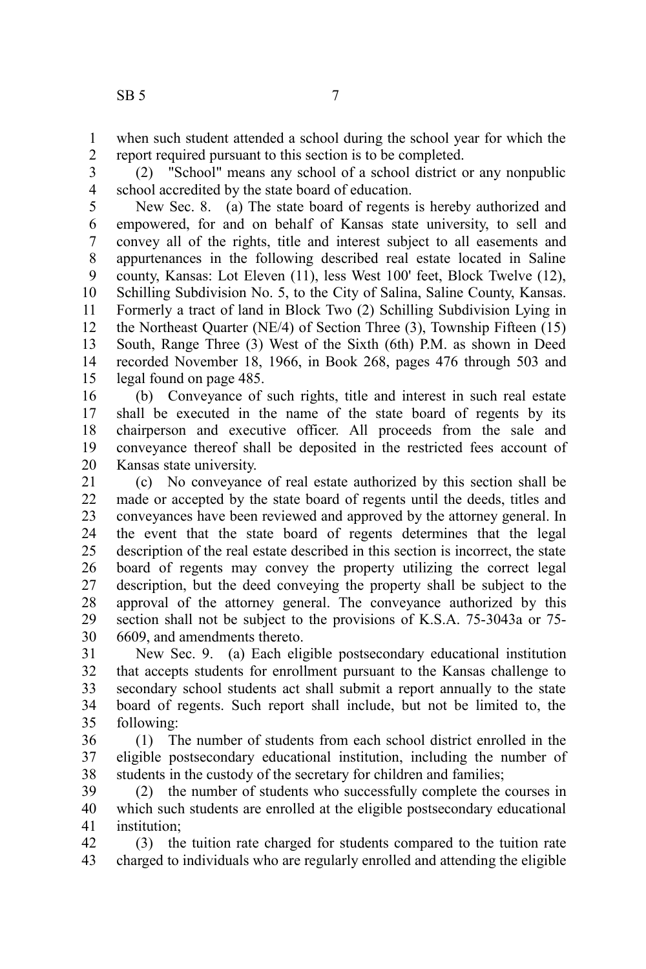when such student attended a school during the school year for which the report required pursuant to this section is to be completed. 1 2

(2) "School" means any school of a school district or any nonpublic school accredited by the state board of education. 3 4

New Sec. 8. (a) The state board of regents is hereby authorized and empowered, for and on behalf of Kansas state university, to sell and convey all of the rights, title and interest subject to all easements and appurtenances in the following described real estate located in Saline county, Kansas: Lot Eleven (11), less West 100' feet, Block Twelve (12), Schilling Subdivision No. 5, to the City of Salina, Saline County, Kansas. Formerly a tract of land in Block Two (2) Schilling Subdivision Lying in the Northeast Quarter (NE/4) of Section Three (3), Township Fifteen (15) South, Range Three (3) West of the Sixth (6th) P.M. as shown in Deed recorded November 18, 1966, in Book 268, pages 476 through 503 and legal found on page 485. 5 6 7 8 9 10 11 12 13 14 15

(b) Conveyance of such rights, title and interest in such real estate shall be executed in the name of the state board of regents by its chairperson and executive officer. All proceeds from the sale and conveyance thereof shall be deposited in the restricted fees account of Kansas state university. 16 17 18 19 20

(c) No conveyance of real estate authorized by this section shall be made or accepted by the state board of regents until the deeds, titles and conveyances have been reviewed and approved by the attorney general. In the event that the state board of regents determines that the legal description of the real estate described in this section is incorrect, the state board of regents may convey the property utilizing the correct legal description, but the deed conveying the property shall be subject to the approval of the attorney general. The conveyance authorized by this section shall not be subject to the provisions of K.S.A. 75-3043a or 75- 6609, and amendments thereto. 21 22 23 24 25 26 27 28 29 30

New Sec. 9. (a) Each eligible postsecondary educational institution that accepts students for enrollment pursuant to the Kansas challenge to secondary school students act shall submit a report annually to the state board of regents. Such report shall include, but not be limited to, the following: 31 32 33 34 35

(1) The number of students from each school district enrolled in the eligible postsecondary educational institution, including the number of students in the custody of the secretary for children and families; 36 37 38

(2) the number of students who successfully complete the courses in which such students are enrolled at the eligible postsecondary educational institution; 39 40 41

(3) the tuition rate charged for students compared to the tuition rate charged to individuals who are regularly enrolled and attending the eligible 42 43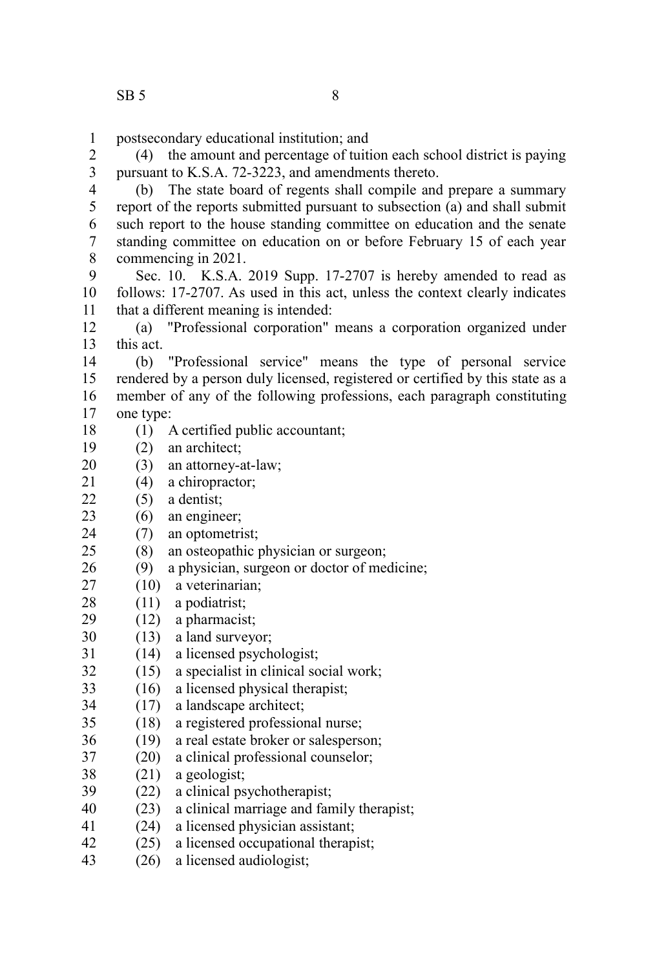postsecondary educational institution; and 1

(4) the amount and percentage of tuition each school district is paying pursuant to K.S.A. 72-3223, and amendments thereto. 2 3

(b) The state board of regents shall compile and prepare a summary report of the reports submitted pursuant to subsection (a) and shall submit such report to the house standing committee on education and the senate standing committee on education on or before February 15 of each year commencing in 2021. 4 5 6 7 8

Sec. 10. K.S.A. 2019 Supp. 17-2707 is hereby amended to read as follows: 17-2707. As used in this act, unless the context clearly indicates that a different meaning is intended: 9 10 11

(a) "Professional corporation" means a corporation organized under this act. 12 13

(b) "Professional service" means the type of personal service rendered by a person duly licensed, registered or certified by this state as a member of any of the following professions, each paragraph constituting one type: 14 15 16 17

- (1) A certified public accountant; 18
- (2) an architect; 19
- (3) an attorney-at-law; 20
- (4) a chiropractor; 21
- (5) a dentist;  $22$
- (6) an engineer; 23
- (7) an optometrist; 24
- (8) an osteopathic physician or surgeon; 25
- (9) a physician, surgeon or doctor of medicine; 26
- (10) a veterinarian; 27
- (11) a podiatrist; 28
- (12) a pharmacist; 29
- (13) a land surveyor; 30
- (14) a licensed psychologist; 31
- (15) a specialist in clinical social work; 32
- (16) a licensed physical therapist; 33
- (17) a landscape architect; 34
- (18) a registered professional nurse; 35
- (19) a real estate broker or salesperson; 36
- (20) a clinical professional counselor; 37
- (21) a geologist; 38
- (22) a clinical psychotherapist; 39
- (23) a clinical marriage and family therapist; 40
- (24) a licensed physician assistant; 41
- (25) a licensed occupational therapist; 42
- (26) a licensed audiologist; 43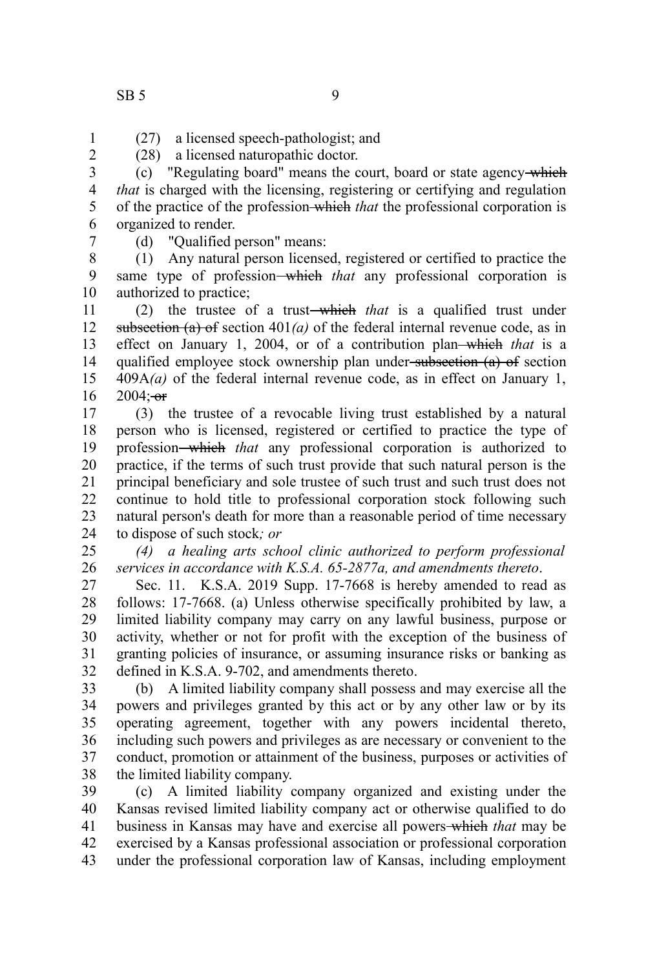- (27) a licensed speech-pathologist; and (28) a licensed naturopathic doctor. 1
- 2

(c) "Regulating board" means the court, board or state agency which *that* is charged with the licensing, registering or certifying and regulation of the practice of the profession which *that* the professional corporation is organized to render. 3 4 5 6 7

(d) "Qualified person" means:

(1) Any natural person licensed, registered or certified to practice the same type of profession-which that any professional corporation is authorized to practice; 8 9 10

(2) the trustee of a trust which *that* is a qualified trust under subsection (a) of section  $401(a)$  of the federal internal revenue code, as in effect on January 1, 2004, or of a contribution plan-which that is a qualified employee stock ownership plan under subsection (a) of section 409A*(a)* of the federal internal revenue code, as in effect on January 1,  $2004: -0f$ 11 12 13 14 15 16

(3) the trustee of a revocable living trust established by a natural person who is licensed, registered or certified to practice the type of profession which *that* any professional corporation is authorized to practice, if the terms of such trust provide that such natural person is the principal beneficiary and sole trustee of such trust and such trust does not continue to hold title to professional corporation stock following such natural person's death for more than a reasonable period of time necessary to dispose of such stock*; or* 17 18 19 20 21 22 23 24

*(4) a healing arts school clinic authorized to perform professional services in accordance with K.S.A. 65-2877a, and amendments thereto*. 25 26

Sec. 11. K.S.A. 2019 Supp. 17-7668 is hereby amended to read as follows: 17-7668. (a) Unless otherwise specifically prohibited by law, a limited liability company may carry on any lawful business, purpose or activity, whether or not for profit with the exception of the business of granting policies of insurance, or assuming insurance risks or banking as defined in K.S.A. 9-702, and amendments thereto. 27 28 29 30 31 32

(b) A limited liability company shall possess and may exercise all the powers and privileges granted by this act or by any other law or by its operating agreement, together with any powers incidental thereto, including such powers and privileges as are necessary or convenient to the conduct, promotion or attainment of the business, purposes or activities of the limited liability company. 33 34 35 36 37 38

(c) A limited liability company organized and existing under the Kansas revised limited liability company act or otherwise qualified to do business in Kansas may have and exercise all powers which *that* may be exercised by a Kansas professional association or professional corporation under the professional corporation law of Kansas, including employment 39 40 41 42 43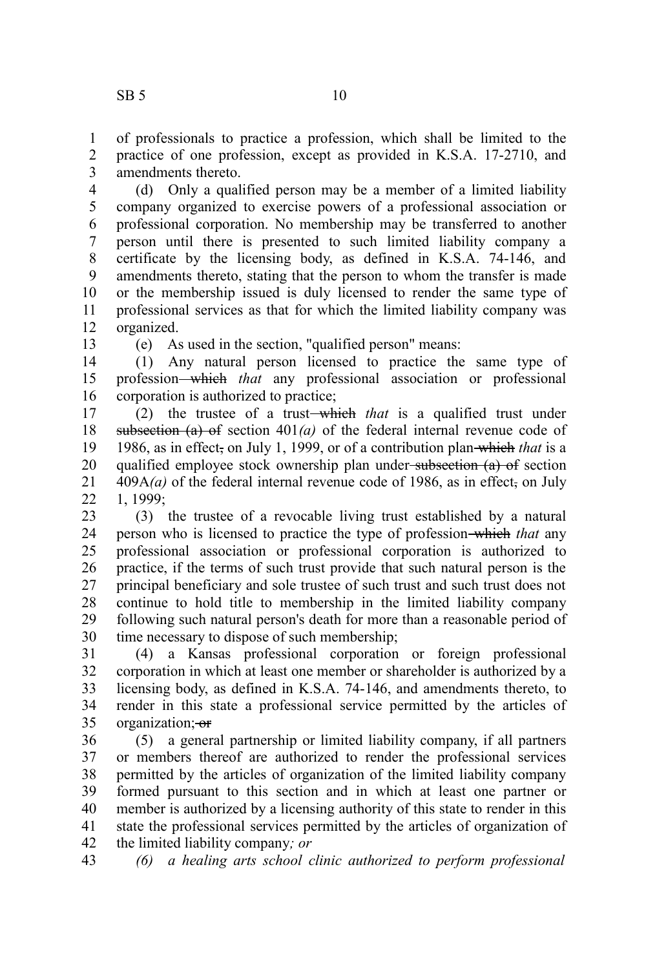of professionals to practice a profession, which shall be limited to the practice of one profession, except as provided in K.S.A. 17-2710, and amendments thereto. 1 2 3

(d) Only a qualified person may be a member of a limited liability company organized to exercise powers of a professional association or professional corporation. No membership may be transferred to another person until there is presented to such limited liability company a certificate by the licensing body, as defined in K.S.A. 74-146, and amendments thereto, stating that the person to whom the transfer is made or the membership issued is duly licensed to render the same type of professional services as that for which the limited liability company was organized. 4 5 6 7 8 9 10 11 12

13

(e) As used in the section, "qualified person" means:

(1) Any natural person licensed to practice the same type of profession which *that* any professional association or professional corporation is authorized to practice; 14 15 16

(2) the trustee of a trust which *that* is a qualified trust under subsection  $(a)$  of section  $401(a)$  of the federal internal revenue code of 1986, as in effect, on July 1, 1999, or of a contribution plan which *that* is a qualified employee stock ownership plan under subsection  $(a)$  of section  $409A(a)$  of the federal internal revenue code of 1986, as in effect, on July 1, 1999; 17 18 19 20 21 22

(3) the trustee of a revocable living trust established by a natural person who is licensed to practice the type of profession which *that* any professional association or professional corporation is authorized to practice, if the terms of such trust provide that such natural person is the principal beneficiary and sole trustee of such trust and such trust does not continue to hold title to membership in the limited liability company following such natural person's death for more than a reasonable period of time necessary to dispose of such membership; 23 24 25 26 27 28 29 30

(4) a Kansas professional corporation or foreign professional corporation in which at least one member or shareholder is authorized by a licensing body, as defined in K.S.A. 74-146, and amendments thereto, to render in this state a professional service permitted by the articles of organization; or 31 32 33 34 35

(5) a general partnership or limited liability company, if all partners or members thereof are authorized to render the professional services permitted by the articles of organization of the limited liability company formed pursuant to this section and in which at least one partner or member is authorized by a licensing authority of this state to render in this state the professional services permitted by the articles of organization of the limited liability company*; or* 36 37 38 39 40 41 42

43

*(6) a healing arts school clinic authorized to perform professional*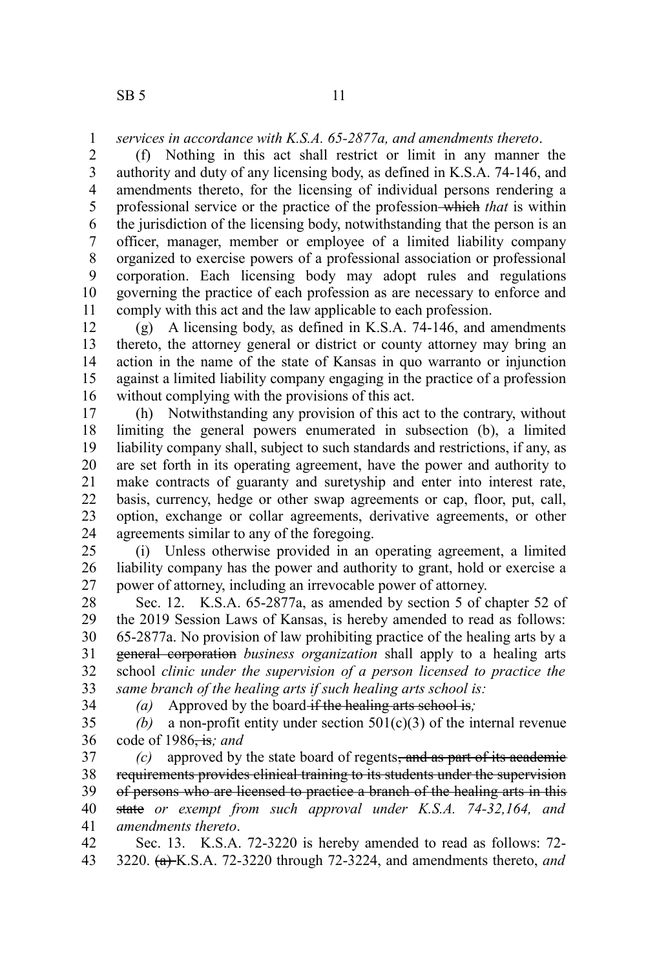## *services in accordance with K.S.A. 65-2877a, and amendments thereto*. 1

(f) Nothing in this act shall restrict or limit in any manner the authority and duty of any licensing body, as defined in K.S.A. 74-146, and amendments thereto, for the licensing of individual persons rendering a professional service or the practice of the profession which *that* is within the jurisdiction of the licensing body, notwithstanding that the person is an officer, manager, member or employee of a limited liability company organized to exercise powers of a professional association or professional corporation. Each licensing body may adopt rules and regulations governing the practice of each profession as are necessary to enforce and comply with this act and the law applicable to each profession. 2 3 4 5 6 7 8 9 10 11

(g) A licensing body, as defined in K.S.A. 74-146, and amendments thereto, the attorney general or district or county attorney may bring an action in the name of the state of Kansas in quo warranto or injunction against a limited liability company engaging in the practice of a profession without complying with the provisions of this act. 12 13 14 15 16

(h) Notwithstanding any provision of this act to the contrary, without limiting the general powers enumerated in subsection (b), a limited liability company shall, subject to such standards and restrictions, if any, as are set forth in its operating agreement, have the power and authority to make contracts of guaranty and suretyship and enter into interest rate, basis, currency, hedge or other swap agreements or cap, floor, put, call, option, exchange or collar agreements, derivative agreements, or other agreements similar to any of the foregoing. 17 18 19 20 21 22 23 24

(i) Unless otherwise provided in an operating agreement, a limited liability company has the power and authority to grant, hold or exercise a power of attorney, including an irrevocable power of attorney. 25 26 27

Sec. 12. K.S.A. 65-2877a, as amended by section 5 of chapter 52 of the 2019 Session Laws of Kansas, is hereby amended to read as follows: 65-2877a. No provision of law prohibiting practice of the healing arts by a general corporation *business organization* shall apply to a healing arts school *clinic under the supervision of a person licensed to practice the same branch of the healing arts if such healing arts school is:* 28 29 30 31 32 33

34

*(a)* Approved by the board if the healing arts school is*;*

(b) a non-profit entity under section  $501(c)(3)$  of the internal revenue code of 1986, is*; and* 35 36

*(c)* approved by the state board of regents, and as part of its academic requirements provides clinical training to its students under the supervision of persons who are licensed to practice a branch of the healing arts in this state *or exempt from such approval under K.S.A. 74-32,164, and amendments thereto*. 37 38 39 40 41

Sec. 13. K.S.A. 72-3220 is hereby amended to read as follows: 72- 3220. (a) K.S.A. 72-3220 through 72-3224, and amendments thereto, *and* 42 43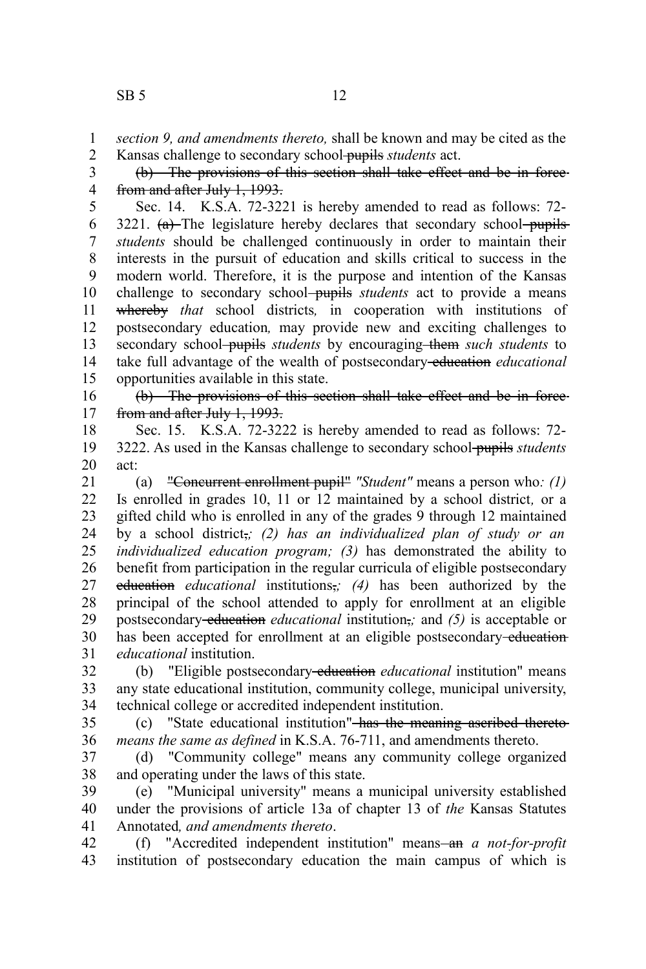*section 9, and amendments thereto,* shall be known and may be cited as the 1

Kansas challenge to secondary school pupils *students* act. 2

(b) The provisions of this section shall take effect and be in force from and after July 1, 1993. 3 4

Sec. 14. K.S.A. 72-3221 is hereby amended to read as follows: 72-  $3221.$  (a) The legislature hereby declares that secondary school pupils *students* should be challenged continuously in order to maintain their interests in the pursuit of education and skills critical to success in the modern world. Therefore, it is the purpose and intention of the Kansas challenge to secondary school-pupils *students* act to provide a means whereby *that* school districts*,* in cooperation with institutions of postsecondary education*,* may provide new and exciting challenges to secondary school-pupils *students* by encouraging them *such students* to take full advantage of the wealth of postsecondary education *educational* opportunities available in this state. 5 6 7 8 9 10 11 12 13 14 15

(b) The provisions of this section shall take effect and be in force from and after July 1, 1993. 16 17

Sec. 15. K.S.A. 72-3222 is hereby amended to read as follows: 72- 3222. As used in the Kansas challenge to secondary school pupils *students* act: 18 19 20

(a) "Concurrent enrollment pupil" *"Student"* means a person who*: (1)* Is enrolled in grades 10, 11 or 12 maintained by a school district*,* or a gifted child who is enrolled in any of the grades 9 through 12 maintained by a school district,*; (2) has an individualized plan of study or an individualized education program; (3)* has demonstrated the ability to benefit from participation in the regular curricula of eligible postsecondary education *educational* institutions,*; (4)* has been authorized by the principal of the school attended to apply for enrollment at an eligible postsecondary-education *educational* institution<sub>i</sub>; and (5) is acceptable or has been accepted for enrollment at an eligible postsecondary-education*educational* institution. 21 22 23 24 25 26 27 28 29 30 31

(b) "Eligible postsecondary-education *educational* institution" means any state educational institution, community college, municipal university, technical college or accredited independent institution. 32 33 34

(c) "State educational institution" has the meaning ascribed thereto *means the same as defined* in K.S.A. 76-711, and amendments thereto. 35 36

(d) "Community college" means any community college organized and operating under the laws of this state. 37 38

(e) "Municipal university" means a municipal university established under the provisions of article 13a of chapter 13 of *the* Kansas Statutes Annotated*, and amendments thereto*. 39 40 41

(f) "Accredited independent institution" means—an *a not-for-profit* institution of postsecondary education the main campus of which is 42 43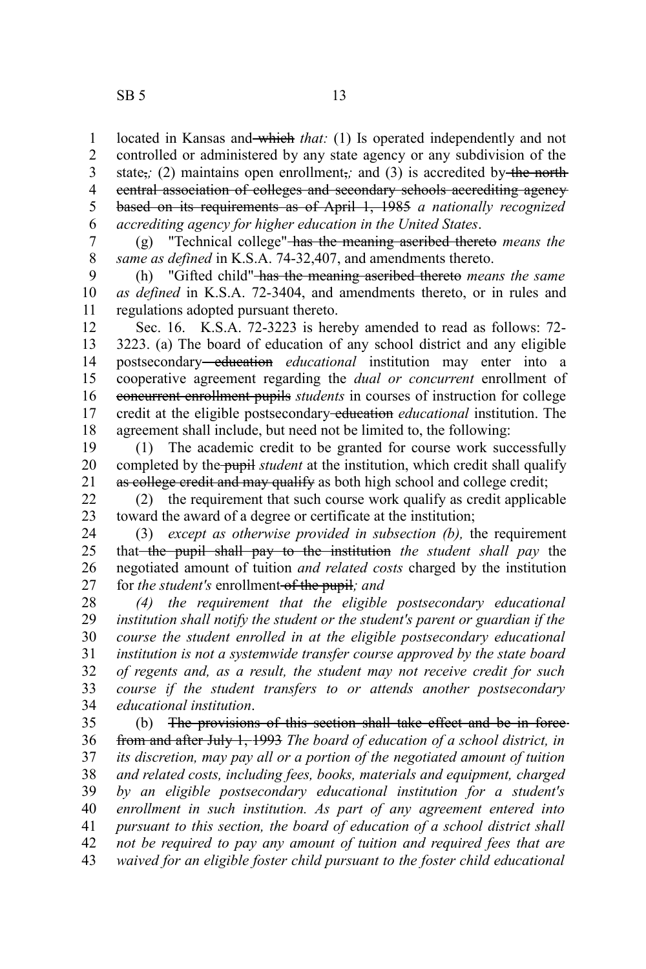$SB 5$  13

located in Kansas and which *that*: (1) Is operated independently and not controlled or administered by any state agency or any subdivision of the state<sub> $\vec{i}$ </sub>; (2) maintains open enrollment<sub> $\vec{i}$ </sub>; and (3) is accredited by the north central association of colleges and secondary schools accrediting agency based on its requirements as of April 1, 1985 *a nationally recognized accrediting agency for higher education in the United States*. 1 2 3 4 5 6

(g) "Technical college" has the meaning ascribed thereto *means the same as defined* in K.S.A. 74-32,407, and amendments thereto. 7 8

(h) "Gifted child" has the meaning ascribed thereto *means the same as defined* in K.S.A. 72-3404, and amendments thereto, or in rules and regulations adopted pursuant thereto. 9 10 11

Sec. 16. K.S.A. 72-3223 is hereby amended to read as follows: 72- 3223. (a) The board of education of any school district and any eligible postsecondary-education educational institution may enter into a cooperative agreement regarding the *dual or concurrent* enrollment of concurrent enrollment pupils *students* in courses of instruction for college credit at the eligible postsecondary education *educational* institution. The agreement shall include, but need not be limited to, the following: 12 13 14 15 16 17 18

(1) The academic credit to be granted for course work successfully completed by the pupil *student* at the institution, which credit shall qualify as college credit and may qualify as both high school and college credit; 19 20 21

(2) the requirement that such course work qualify as credit applicable toward the award of a degree or certificate at the institution; 22 23

(3) *except as otherwise provided in subsection (b),* the requirement that the pupil shall pay to the institution *the student shall pay* the negotiated amount of tuition *and related costs* charged by the institution for *the student's* enrollment of the pupil*; and* 24 25 26 27

*(4) the requirement that the eligible postsecondary educational institution shall notify the student or the student's parent or guardian if the course the student enrolled in at the eligible postsecondary educational institution is not a systemwide transfer course approved by the state board of regents and, as a result, the student may not receive credit for such course if the student transfers to or attends another postsecondary educational institution*. 28 29 30 31 32 33 34

(b) The provisions of this section shall take effect and be in force from and after July 1, 1993 *The board of education of a school district, in its discretion, may pay all or a portion of the negotiated amount of tuition and related costs, including fees, books, materials and equipment, charged by an eligible postsecondary educational institution for a student's enrollment in such institution. As part of any agreement entered into pursuant to this section, the board of education of a school district shall not be required to pay any amount of tuition and required fees that are waived for an eligible foster child pursuant to the foster child educational* 35 36 37 38 39 40 41 42 43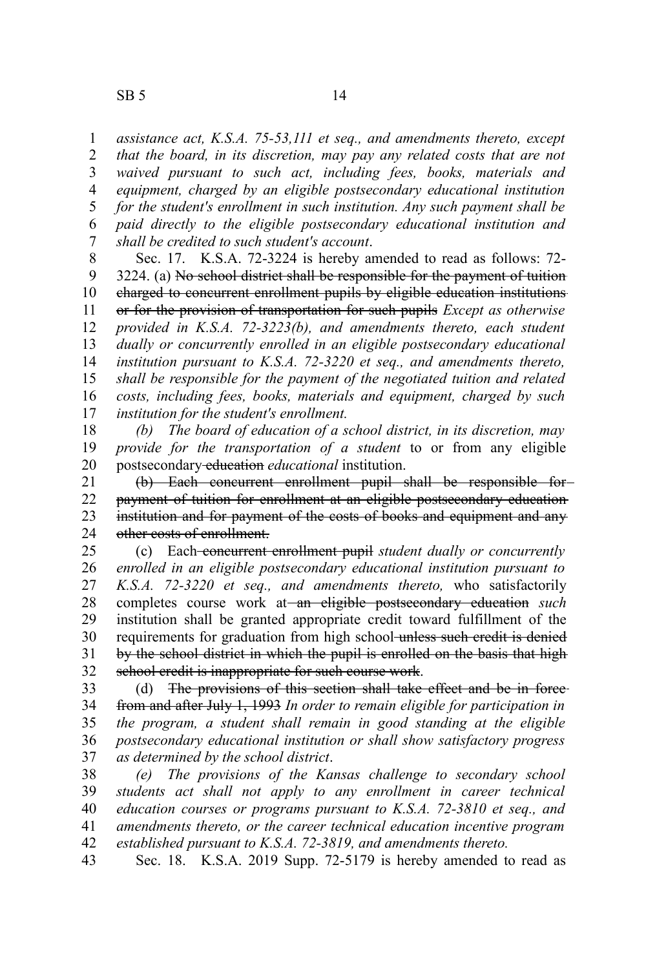*assistance act, K.S.A. 75-53,111 et seq., and amendments thereto, except that the board, in its discretion, may pay any related costs that are not waived pursuant to such act, including fees, books, materials and equipment, charged by an eligible postsecondary educational institution for the student's enrollment in such institution. Any such payment shall be paid directly to the eligible postsecondary educational institution and shall be credited to such student's account*. 1 2 3 4 5 6 7

Sec. 17. K.S.A. 72-3224 is hereby amended to read as follows: 72- 3224. (a) No school district shall be responsible for the payment of tuition charged to concurrent enrollment pupils by eligible education institutions or for the provision of transportation for such pupils *Except as otherwise provided in K.S.A. 72-3223(b), and amendments thereto, each student dually or concurrently enrolled in an eligible postsecondary educational institution pursuant to K.S.A. 72-3220 et seq., and amendments thereto, shall be responsible for the payment of the negotiated tuition and related costs, including fees, books, materials and equipment, charged by such institution for the student's enrollment.* 8 9 10 11 12 13 14 15 16 17

*(b) The board of education of a school district, in its discretion, may provide for the transportation of a student* to or from any eligible postsecondary education *educational* institution. 18 19 20

(b) Each concurrent enrollment pupil shall be responsible for payment of tuition for enrollment at an eligible postsecondary education institution and for payment of the costs of books and equipment and any other costs of enrollment. 21 22 23 24

(c) Each concurrent enrollment pupil *student dually or concurrently enrolled in an eligible postsecondary educational institution pursuant to K.S.A. 72-3220 et seq., and amendments thereto,* who satisfactorily completes course work at an eligible postsecondary education *such* institution shall be granted appropriate credit toward fulfillment of the requirements for graduation from high school unless such credit is denied by the school district in which the pupil is enrolled on the basis that high school credit is inappropriate for such course work. 25 26 27 28 29 30 31 32

(d) The provisions of this section shall take effect and be in force from and after July 1, 1993 *In order to remain eligible for participation in the program, a student shall remain in good standing at the eligible postsecondary educational institution or shall show satisfactory progress as determined by the school district*. 33 34 35 36 37

*(e) The provisions of the Kansas challenge to secondary school students act shall not apply to any enrollment in career technical education courses or programs pursuant to K.S.A. 72-3810 et seq., and amendments thereto, or the career technical education incentive program established pursuant to K.S.A. 72-3819, and amendments thereto.* 38 39 40 41 42

Sec. 18. K.S.A. 2019 Supp. 72-5179 is hereby amended to read as 43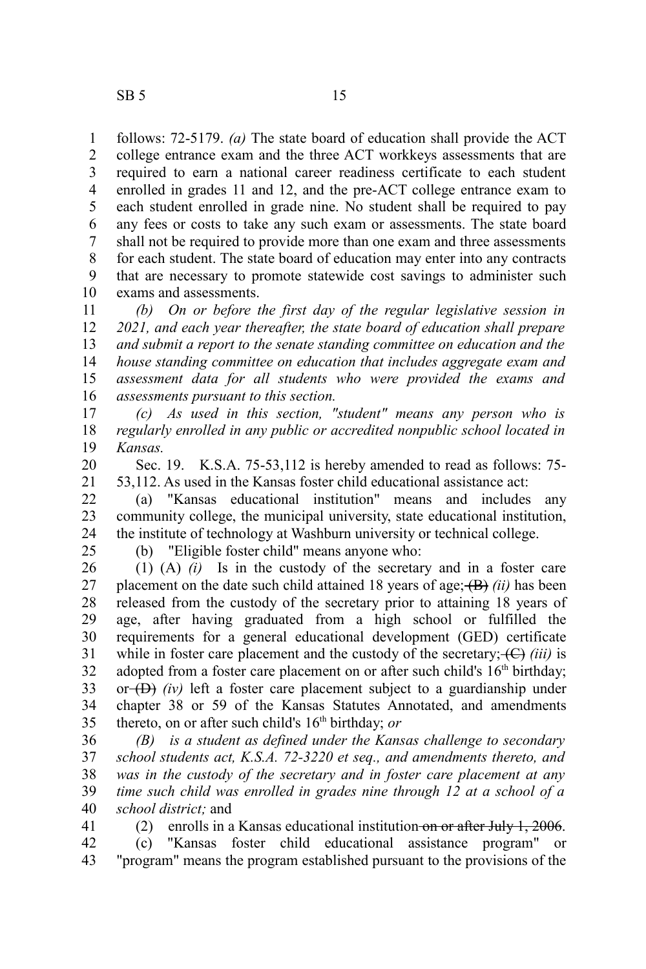follows: 72-5179. *(a)* The state board of education shall provide the ACT college entrance exam and the three ACT workkeys assessments that are required to earn a national career readiness certificate to each student enrolled in grades 11 and 12, and the pre-ACT college entrance exam to each student enrolled in grade nine. No student shall be required to pay any fees or costs to take any such exam or assessments. The state board shall not be required to provide more than one exam and three assessments for each student. The state board of education may enter into any contracts that are necessary to promote statewide cost savings to administer such exams and assessments. 1 2 3 4 5 6 7 8 9 10

*(b) On or before the first day of the regular legislative session in 2021, and each year thereafter, the state board of education shall prepare and submit a report to the senate standing committee on education and the house standing committee on education that includes aggregate exam and assessment data for all students who were provided the exams and assessments pursuant to this section.* 11 12 13 14 15 16

*(c) As used in this section, "student" means any person who is regularly enrolled in any public or accredited nonpublic school located in Kansas.* 17 18 19

Sec. 19. K.S.A. 75-53,112 is hereby amended to read as follows: 75- 53,112. As used in the Kansas foster child educational assistance act: 20 21

(a) "Kansas educational institution" means and includes any community college, the municipal university, state educational institution, the institute of technology at Washburn university or technical college. 22 23 24

25

(b) "Eligible foster child" means anyone who:

(1) (A) *(i)* Is in the custody of the secretary and in a foster care placement on the date such child attained 18 years of age;  $(B)$  *(ii)* has been released from the custody of the secretary prior to attaining 18 years of age, after having graduated from a high school or fulfilled the requirements for a general educational development (GED) certificate while in foster care placement and the custody of the secretary;  $\left(\frac{C}{C}\right)$  *(iii)* is adopted from a foster care placement on or after such child's  $16<sup>th</sup>$  birthday; or  $(D)$  *(iv)* left a foster care placement subject to a guardianship under chapter 38 or 59 of the Kansas Statutes Annotated, and amendments thereto, on or after such child's 16<sup>th</sup> birthday; *or* 26 27 28 29 30 31 32 33 34 35

*(B) is a student as defined under the Kansas challenge to secondary school students act, K.S.A. 72-3220 et seq., and amendments thereto, and was in the custody of the secretary and in foster care placement at any time such child was enrolled in grades nine through 12 at a school of a school district;* and 36 37 38 39 40

(2) enrolls in a Kansas educational institution on or after July 1, 2006. 41

(c) "Kansas foster child educational assistance program" or "program" means the program established pursuant to the provisions of the 42 43